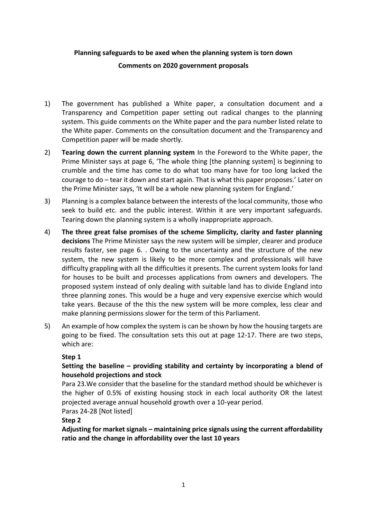# **Planning safeguards to be axed when the planning system is torn down**

#### **Comments on 2020 government proposals**

- 1) The government has published a White paper, a consultation document and a Transparency and Competition paper setting out radical changes to the planning system. This guide comments on the White paper and the para number listed relate to the White paper. Comments on the consultation document and the Transparency and Competition paper will be made shortly.
- 2) **Tearing down the current planning system** In the Foreword to the White paper, the Prime Minister says at page 6, 'The whole thing [the planning system] is beginning to crumble and the time has come to do what too many have for too long lacked the courage to do – tear it down and start again. That is what this paper proposes.' Later on the Prime Minister says, 'It will be a whole new planning system for England.'
- 3) Planning is a complex balance between the interests of the local community, those who seek to build etc. and the public interest. Within it are very important safeguards. Tearing down the planning system is a wholly inappropriate approach.
- 4) **The three great false promises of the scheme Simplicity, clarity and faster planning decisions** The Prime Minister says the new system will be simpler, clearer and produce results faster, see page 6. . Owing to the uncertainty and the structure of the new system, the new system is likely to be more complex and professionals will have difficulty grappling with all the difficulties it presents. The current system looks for land for houses to be built and processes applications from owners and developers. The proposed system instead of only dealing with suitable land has to divide England into three planning zones. This would be a huge and very expensive exercise which would take years. Because of the this the new system will be more complex, less clear and make planning permissions slower for the term of this Parliament.
- 5) An example of how complex the system is can be shown by how the housing targets are going to be fixed. The consultation sets this out at page 12-17. There are two steps, which are:

### **Step 1**

## **Setting the baseline – providing stability and certainty by incorporating a blend of household projections and stock**

Para 23.We consider that the baseline for the standard method should be whichever is the higher of 0.5% of existing housing stock in each local authority OR the latest projected average annual household growth over a 10-year period.

Paras 24-28 [Not listed]

### **Step 2**

**Adjusting for market signals – maintaining price signals using the current affordability ratio and the change in affordability over the last 10 years**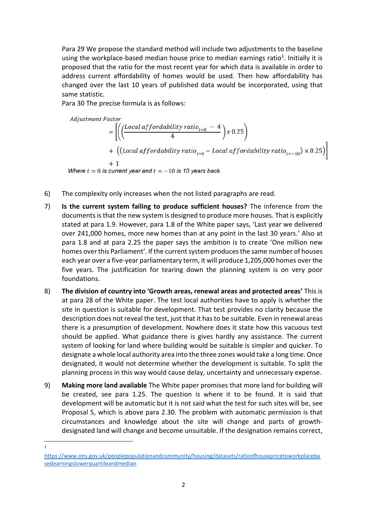Para 29 We propose the standard method will include two adjustments to the baseline using the workplace-based median house price to median earnings ratio<sup>1</sup>. Initially it is proposed that the ratio for the most recent year for which data is available in order to address current affordability of homes would be used. Then how affordability has changed over the last 10 years of published data would be incorporated, using that same statistic.

Para 30 The precise formula is as follows:

Adjustment Factor

\n
$$
= \left[ \left( \left( \frac{Local\text{ af for dability ratio}_{t=0} - 4}{4} \right) x \, 0.25 \right) + \left( \left( Local\text{ af for dability ratio}_{t=0} - Local\text{ af for dability ratio}_{t=-10} \right) \times 0.25 \right) \right]
$$
\n
$$
+ 1
$$
\nWhere  $t = 0$  is current year and  $t = -10$  is 10 years back.

- 6) The complexity only increases when the not listed paragraphs are read.
- 7) **Is the current system failing to produce sufficient houses?** The inference from the documents is that the new system is designed to produce more houses. That is explicitly stated at para 1.9. However, para 1.8 of the White paper says, 'Last year we delivered over 241,000 homes, more new homes than at any point in the last 30 years.' Also at para 1.8 and at para 2.25 the paper says the ambition is to create 'One million new homes over this Parliament'. If the current system produces the same number of houses each year over a five-year parliamentary term, it will produce 1,205,000 homes over the five years. The justification for tearing down the planning system is on very poor foundations.
- 8) **The division of country into 'Growth areas, renewal areas and protected areas'** This is at para 28 of the White paper. The test local authorities have to apply is whether the site in question is suitable for development. That test provides no clarity because the description does not reveal the test, just that it has to be suitable. Even in renewal areas there is a presumption of development. Nowhere does it state how this vacuous test should be applied. What guidance there is gives hardly any assistance. The current system of looking for land where building would be suitable is simpler and quicker. To designate a whole local authority area into the three zones would take a long time. Once designated, it would not determine whether the development is suitable. To split the planning process in this way would cause delay, uncertainty and unnecessary expense.
- 9) **Making more land available** The White paper promises that more land for building will be created, see para 1.25. The question is where it to be found. It is said that development will be automatic but it is not said what the test for such sites will be, see Proposal 5, which is above para 2.30. The problem with automatic permission is that circumstances and knowledge about the site will change and parts of growthdesignated land will change and become unsuitable. If the designation remains correct,
- 1

[https://www.ons.gov.uk/peoplepopulationandcommunity/housing/datasets/ratioofhousepricetoworkplaceba](https://www.ons.gov.uk/peoplepopulationandcommunity/housing/datasets/ratioofhousepricetoworkplacebasedearningslowerquartileandmedian) [sedearningslowerquartileandmedian](https://www.ons.gov.uk/peoplepopulationandcommunity/housing/datasets/ratioofhousepricetoworkplacebasedearningslowerquartileandmedian)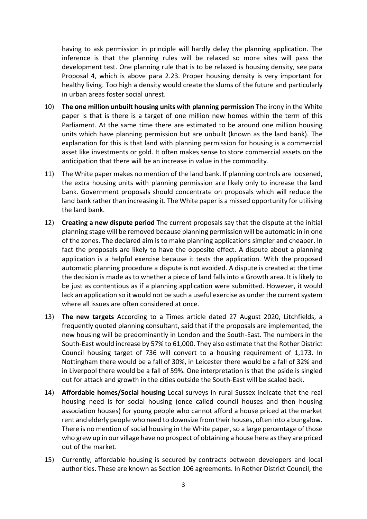having to ask permission in principle will hardly delay the planning application. The inference is that the planning rules will be relaxed so more sites will pass the development test. One planning rule that is to be relaxed is housing density, see para Proposal 4, which is above para 2.23. Proper housing density is very important for healthy living. Too high a density would create the slums of the future and particularly in urban areas foster social unrest.

- 10) **The one million unbuilt housing units with planning permission** The irony in the White paper is that is there is a target of one million new homes within the term of this Parliament. At the same time there are estimated to be around one million housing units which have planning permission but are unbuilt (known as the land bank). The explanation for this is that land with planning permission for housing is a commercial asset like investments or gold. It often makes sense to store commercial assets on the anticipation that there will be an increase in value in the commodity.
- 11) The White paper makes no mention of the land bank. If planning controls are loosened, the extra housing units with planning permission are likely only to increase the land bank. Government proposals should concentrate on proposals which will reduce the land bank rather than increasing it. The White paper is a missed opportunity for utilising the land bank.
- 12) **Creating a new dispute period** The current proposals say that the dispute at the initial planning stage will be removed because planning permission will be automatic in in one of the zones. The declared aim is to make planning applications simpler and cheaper. In fact the proposals are likely to have the opposite effect. A dispute about a planning application is a helpful exercise because it tests the application. With the proposed automatic planning procedure a dispute is not avoided. A dispute is created at the time the decision is made as to whether a piece of land falls into a Growth area. It is likely to be just as contentious as if a planning application were submitted. However, it would lack an application so it would not be such a useful exercise as under the current system where all issues are often considered at once.
- 13) **The new targets** According to a Times article dated 27 August 2020, Litchfields, a frequently quoted planning consultant, said that if the proposals are implemented, the new housing will be predominantly in London and the South-East. The numbers in the South-East would increase by 57% to 61,000. They also estimate that the Rother District Council housing target of 736 will convert to a housing requirement of 1,173. In Nottingham there would be a fall of 30%, in Leicester there would be a fall of 32% and in Liverpool there would be a fall of 59%. One interpretation is that the pside is singled out for attack and growth in the cities outside the South-East will be scaled back.
- 14) **Affordable homes/Social housing** Local surveys in rural Sussex indicate that the real housing need is for social housing (once called council houses and then housing association houses) for young people who cannot afford a house priced at the market rent and elderly people who need to downsize from their houses, often into a bungalow. There is no mention of social housing in the White paper, so a large percentage of those who grew up in our village have no prospect of obtaining a house here as they are priced out of the market.
- 15) Currently, affordable housing is secured by contracts between developers and local authorities. These are known as Section 106 agreements. In Rother District Council, the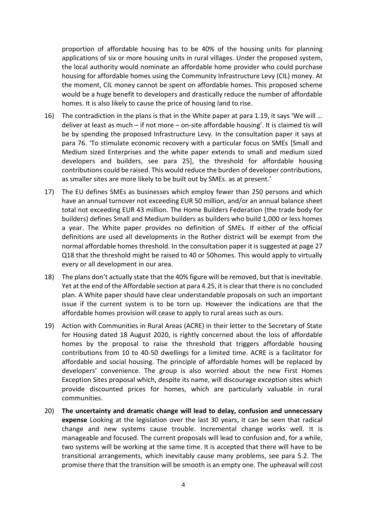proportion of affordable housing has to be 40% of the housing units for planning applications of six or more housing units in rural villages. Under the proposed system, the local authority would nominate an affordable home provider who could purchase housing for affordable homes using the Community Infrastructure Levy (CIL) money. At the moment, CIL money cannot be spent on affordable homes. This proposed scheme would be a huge benefit to developers and drastically reduce the number of affordable homes. It is also likely to cause the price of housing land to rise.

- 16) The contradiction in the plans is that in the White paper at para 1.19, it says 'We will … deliver at least as much – if not more – on-site affordable housing'. It is claimed tis will be by spending the proposed Infrastructure Levy. In the consultation paper it says at para 76. 'To stimulate economic recovery with a particular focus on SMEs [Small and Medium sized Enterprises and the white paper extends to small and medium sized developers and builders, see para 25], the threshold for affordable housing contributions could be raised. This would reduce the burden of developer contributions, as smaller sites are more likely to be built out by SMEs. as at present.'
- 17) The EU defines SMEs as businesses which employ fewer than 250 persons and which have an annual turnover not exceeding EUR 50 million, and/or an annual balance sheet total not exceeding EUR 43 million. The Home Builders Federation (the trade body for builders) defines Small and Medium builders as builders who build 1,000 or less homes a year. The White paper provides no definition of SMEs. If either of the official definitions are used all developments in the Rother district will be exempt from the normal affordable homes threshold. In the consultation paper it is suggested at page 27 Q18 that the threshold might be raised to 40 or 50homes. This would apply to virtually every or all development in our area.
- 18) The plans don't actually state that the 40% figure will be removed, but that is inevitable. Yet at the end of the Affordable section at para 4.25, it is clear that there is no concluded plan. A White paper should have clear understandable proposals on such an important issue if the current system is to be torn up. However the indications are that the affordable homes provision will cease to apply to rural areas such as ours.
- 19) Action with Communities in Rural Areas (ACRE) in their letter to the Secretary of State for Housing dated 18 August 2020, is rightly concerned about the loss of affordable homes by the proposal to raise the threshold that triggers affordable housing contributions from 10 to 40-50 dwellings for a limited time. ACRE is a facilitator for affordable and social housing. The principle of affordable homes will be replaced by developers' convenience. The group is also worried about the new First Homes Exception Sites proposal which, despite its name, will discourage exception sites which provide discounted prices for homes, which are particularly valuable in rural communities.
- 20) **The uncertainty and dramatic change will lead to delay, confusion and unnecessary expense** Looking at the legislation over the last 30 years, it can be seen that radical change and new systems cause trouble. Incremental change works well. It is manageable and focused. The current proposals will lead to confusion and, for a while, two systems will be working at the same time. It is accepted that there will have to be transitional arrangements, which inevitably cause many problems, see para 5.2. The promise there that the transition will be smooth is an empty one. The upheaval will cost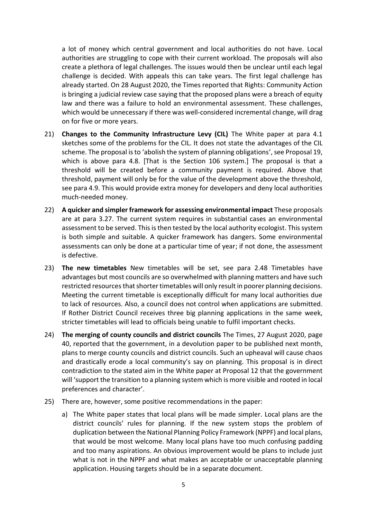a lot of money which central government and local authorities do not have. Local authorities are struggling to cope with their current workload. The proposals will also create a plethora of legal challenges. The issues would then be unclear until each legal challenge is decided. With appeals this can take years. The first legal challenge has already started. On 28 August 2020, the Times reported that Rights: Community Action is bringing a judicial review case saying that the proposed plans were a breach of equity law and there was a failure to hold an environmental assessment. These challenges, which would be unnecessary if there was well-considered incremental change, will drag on for five or more years.

- 21) **Changes to the Community Infrastructure Levy (CIL)** The White paper at para 4.1 sketches some of the problems for the CIL. It does not state the advantages of the CIL scheme. The proposal is to 'abolish the system of planning obligations', see Proposal 19, which is above para 4.8. [That is the Section 106 system.] The proposal is that a threshold will be created before a community payment is required. Above that threshold, payment will only be for the value of the development above the threshold, see para 4.9. This would provide extra money for developers and deny local authorities much-needed money.
- 22) **A quicker and simpler framework for assessing environmental impact** These proposals are at para 3.27. The current system requires in substantial cases an environmental assessment to be served. This is then tested by the local authority ecologist. This system is both simple and suitable. A quicker framework has dangers. Some environmental assessments can only be done at a particular time of year; if not done, the assessment is defective.
- 23) **The new timetables** New timetables will be set, see para 2.48 Timetables have advantages but most councils are so overwhelmed with planning matters and have such restricted resources that shorter timetables will only result in poorer planning decisions. Meeting the current timetable is exceptionally difficult for many local authorities due to lack of resources. Also, a council does not control when applications are submitted. If Rother District Council receives three big planning applications in the same week, stricter timetables will lead to officials being unable to fulfil important checks.
- 24) **The merging of county councils and district councils** The Times, 27 August 2020, page 40, reported that the government, in a devolution paper to be published next month, plans to merge county councils and district councils. Such an upheaval will cause chaos and drastically erode a local community's say on planning. This proposal is in direct contradiction to the stated aim in the White paper at Proposal 12 that the government will 'support the transition to a planning system which is more visible and rooted in local preferences and character'.
- 25) There are, however, some positive recommendations in the paper:
	- a) The White paper states that local plans will be made simpler. Local plans are the district councils' rules for planning. If the new system stops the problem of duplication between the National Planning Policy Framework (NPPF) and local plans, that would be most welcome. Many local plans have too much confusing padding and too many aspirations. An obvious improvement would be plans to include just what is not in the NPPF and what makes an acceptable or unacceptable planning application. Housing targets should be in a separate document.